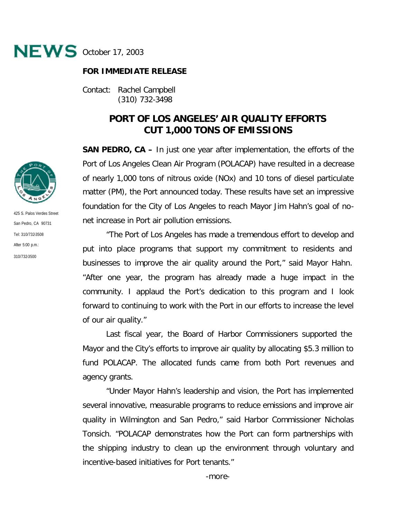

## **FOR IMMEDIATE RELEASE**

Contact: Rachel Campbell (310) 732-3498

## **PORT OF LOS ANGELES' AIR QUALITY EFFORTS CUT 1,000 TONS OF EMISSIONS**

**SAN PEDRO, CA –** In just one year after implementation, the efforts of the Port of Los Angeles Clean Air Program (POLACAP) have resulted in a decrease of nearly 1,000 tons of nitrous oxide (NOx) and 10 tons of diesel particulate matter (PM), the Port announced today. These results have set an impressive foundation for the City of Los Angeles to reach Mayor Jim Hahn's goal of nonet increase in Port air pollution emissions.

"The Port of Los Angeles has made a tremendous effort to develop and put into place programs that support my commitment to residents and businesses to improve the air quality around the Port," said Mayor Hahn. "After one year, the program has already made a huge impact in the community. I applaud the Port's dedication to this program and I look forward to continuing to work with the Port in our efforts to increase the level of our air quality."

Last fiscal year, the Board of Harbor Commissioners supported the Mayor and the City's efforts to improve air quality by allocating \$5.3 million to fund POLACAP. The allocated funds came from both Port revenues and agency grants.

"Under Mayor Hahn's leadership and vision, the Port has implemented several innovative, measurable programs to reduce emissions and improve air quality in Wilmington and San Pedro," said Harbor Commissioner Nicholas Tonsich. "POLACAP demonstrates how the Port can form partnerships with the shipping industry to clean up the environment through voluntary and incentive-based initiatives for Port tenants."



425 S. Palos Verdes Street San Pedro, CA 90731 Tel: 310/732-3508 After 5:00 p.m.: 310/732-3500